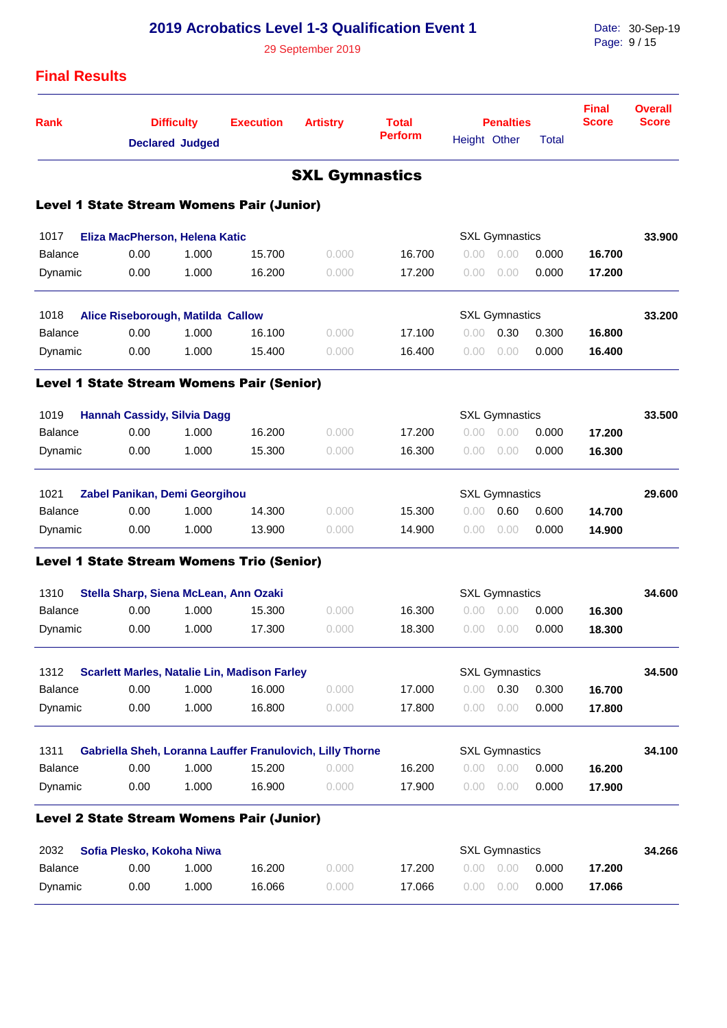| <b>2019 Acrobatics Level 1-3 Qualification Event 1</b><br>29 September 2019 |                                       |                                             |                                                     |                                                           |                                |              |                       |              |                              | Date: 30-Sep-19<br>Page: 9/15  |  |  |
|-----------------------------------------------------------------------------|---------------------------------------|---------------------------------------------|-----------------------------------------------------|-----------------------------------------------------------|--------------------------------|--------------|-----------------------|--------------|------------------------------|--------------------------------|--|--|
| <b>Final Results</b>                                                        |                                       |                                             |                                                     |                                                           |                                |              |                       |              |                              |                                |  |  |
| <b>Rank</b>                                                                 |                                       | <b>Difficulty</b><br><b>Declared Judged</b> | <b>Execution</b>                                    | <b>Artistry</b>                                           | <b>Total</b><br><b>Perform</b> | Height Other | <b>Penalties</b>      | <b>Total</b> | <b>Final</b><br><b>Score</b> | <b>Overall</b><br><b>Score</b> |  |  |
|                                                                             |                                       |                                             |                                                     | <b>SXL Gymnastics</b>                                     |                                |              |                       |              |                              |                                |  |  |
| <b>Level 1 State Stream Womens Pair (Junior)</b>                            |                                       |                                             |                                                     |                                                           |                                |              |                       |              |                              |                                |  |  |
| 1017                                                                        | Eliza MacPherson, Helena Katic        |                                             |                                                     |                                                           |                                |              | <b>SXL Gymnastics</b> |              |                              | 33.900                         |  |  |
| <b>Balance</b>                                                              | 0.00                                  | 1.000                                       | 15.700                                              | 0.000                                                     | 16.700                         | 0.00         | 0.00                  | 0.000        | 16.700                       |                                |  |  |
| Dynamic                                                                     | 0.00                                  | 1.000                                       | 16.200                                              | 0.000                                                     | 17.200                         | 0.00         | 0.00                  | 0.000        | 17.200                       |                                |  |  |
| 1018                                                                        | Alice Riseborough, Matilda Callow     |                                             |                                                     |                                                           |                                |              | <b>SXL Gymnastics</b> |              |                              | 33.200                         |  |  |
| <b>Balance</b>                                                              | 0.00                                  | 1.000                                       | 16.100                                              | 0.000                                                     | 17.100                         | 0.00         | 0.30                  | 0.300        | 16.800                       |                                |  |  |
| Dynamic                                                                     | 0.00                                  | 1.000                                       | 15.400                                              | 0.000                                                     | 16.400                         | 0.00         | 0.00                  | 0.000        | 16.400                       |                                |  |  |
| <b>Level 1 State Stream Womens Pair (Senior)</b>                            |                                       |                                             |                                                     |                                                           |                                |              |                       |              |                              |                                |  |  |
| 1019                                                                        | <b>Hannah Cassidy, Silvia Dagg</b>    |                                             |                                                     |                                                           |                                |              | <b>SXL Gymnastics</b> |              |                              | 33.500                         |  |  |
| <b>Balance</b>                                                              | 0.00                                  | 1.000                                       | 16.200                                              | 0.000                                                     | 17.200                         | 0.00         | 0.00                  | 0.000        | 17.200                       |                                |  |  |
| Dynamic                                                                     | 0.00                                  | 1.000                                       | 15.300                                              | 0.000                                                     | 16.300                         | 0.00         | 0.00                  | 0.000        | 16.300                       |                                |  |  |
| 1021                                                                        | Zabel Panikan, Demi Georgihou         |                                             |                                                     |                                                           |                                |              | <b>SXL Gymnastics</b> |              |                              | 29.600                         |  |  |
| <b>Balance</b>                                                              | 0.00                                  | 1.000                                       | 14.300                                              | 0.000                                                     | 15.300                         | 0.00         | 0.60                  | 0.600        | 14.700                       |                                |  |  |
| Dynamic                                                                     | 0.00                                  | 1.000                                       | 13.900                                              | 0.000                                                     | 14.900                         | 0.00         | 0.00                  | 0.000        | 14.900                       |                                |  |  |
| <b>Level 1 State Stream Womens Trio (Senior)</b>                            |                                       |                                             |                                                     |                                                           |                                |              |                       |              |                              |                                |  |  |
| 1310                                                                        | Stella Sharp, Siena McLean, Ann Ozaki |                                             |                                                     |                                                           |                                |              | <b>SXL Gymnastics</b> |              |                              | 34.600                         |  |  |
| Balance                                                                     | 0.00                                  | 1.000                                       | 15.300                                              | 0.000                                                     | 16.300                         | 0.00         | 0.00                  | 0.000        | 16.300                       |                                |  |  |
| Dynamic                                                                     | 0.00                                  | 1.000                                       | 17.300                                              | 0.000                                                     | 18.300                         | 0.00         | 0.00                  | 0.000        | 18.300                       |                                |  |  |
| 1312                                                                        |                                       |                                             | <b>Scarlett Marles, Natalie Lin, Madison Farley</b> |                                                           |                                |              | <b>SXL Gymnastics</b> |              |                              | 34.500                         |  |  |
| <b>Balance</b>                                                              | 0.00                                  | 1.000                                       | 16.000                                              | 0.000                                                     | 17.000                         | 0.00         | 0.30                  | 0.300        | 16.700                       |                                |  |  |
| Dynamic                                                                     | 0.00                                  | 1.000                                       | 16.800                                              | 0.000                                                     | 17.800                         | 0.00         | 0.00                  | 0.000        | 17.800                       |                                |  |  |
| 1311                                                                        |                                       |                                             |                                                     | Gabriella Sheh, Loranna Lauffer Franulovich, Lilly Thorne |                                |              | <b>SXL Gymnastics</b> |              |                              | 34.100                         |  |  |
| <b>Balance</b>                                                              | 0.00                                  | 1.000                                       | 15.200                                              | 0.000                                                     | 16.200                         | 0.00         | 0.00                  | 0.000        | 16.200                       |                                |  |  |
| Dynamic                                                                     | 0.00                                  | 1.000                                       | 16.900                                              | 0.000                                                     | 17.900                         | 0.00         | 0.00                  | 0.000        | 17.900                       |                                |  |  |
| <b>Level 2 State Stream Womens Pair (Junior)</b>                            |                                       |                                             |                                                     |                                                           |                                |              |                       |              |                              |                                |  |  |
| 2032                                                                        | Sofia Plesko, Kokoha Niwa             |                                             |                                                     |                                                           |                                |              | <b>SXL Gymnastics</b> |              |                              | 34.266                         |  |  |
| <b>Balance</b>                                                              | 0.00                                  | 1.000                                       | 16.200                                              | 0.000                                                     | 17.200                         | 0.00         | 0.00                  | 0.000        | 17.200                       |                                |  |  |
| Dynamic                                                                     | 0.00                                  | 1.000                                       | 16.066                                              | 0.000                                                     | 17.066                         | 0.00         | 0.00                  | 0.000        | 17.066                       |                                |  |  |
|                                                                             |                                       |                                             |                                                     |                                                           |                                |              |                       |              |                              |                                |  |  |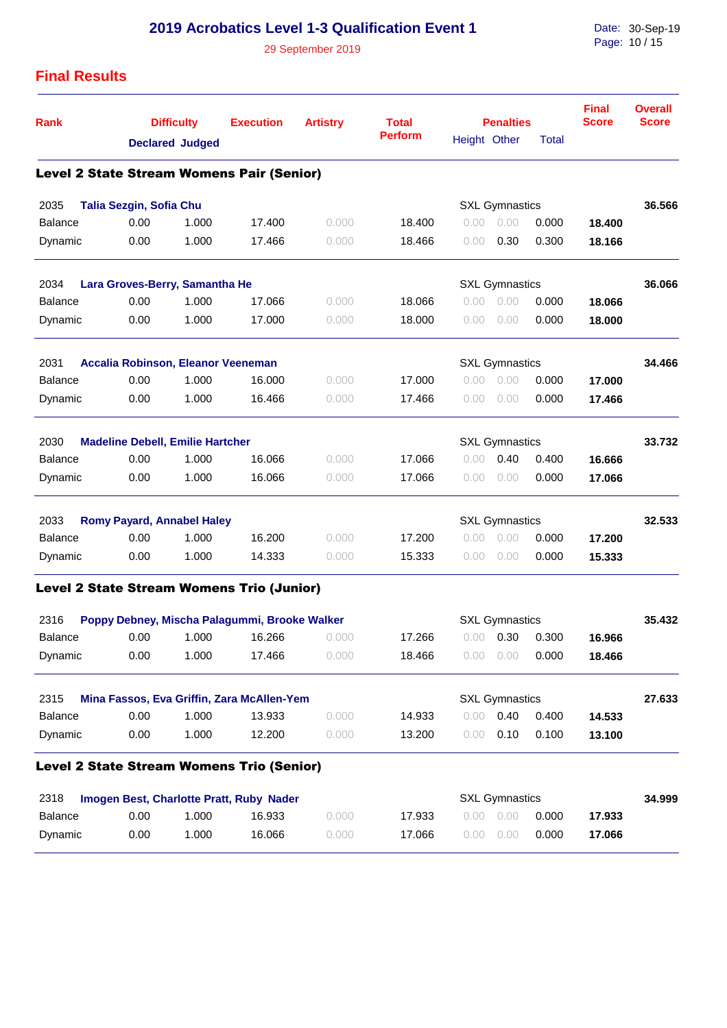## **2019 Acrobatics Level 1-3 Qualification Event 1**

29 September 2019

Date: Page: 30-Sep-19 10 / 15

## **Final Results**

| <b>Rank</b>    |                                         | <b>Difficulty</b><br><b>Declared Judged</b> | <b>Execution</b>                                 | <b>Artistry</b> | <b>Total</b><br><b>Perform</b> | Height Other | <b>Penalties</b>      | <b>Total</b> | <b>Final</b><br><b>Score</b> | <b>Overall</b><br><b>Score</b> |
|----------------|-----------------------------------------|---------------------------------------------|--------------------------------------------------|-----------------|--------------------------------|--------------|-----------------------|--------------|------------------------------|--------------------------------|
|                |                                         |                                             | <b>Level 2 State Stream Womens Pair (Senior)</b> |                 |                                |              |                       |              |                              |                                |
| 2035           | Talia Sezgin, Sofia Chu                 |                                             |                                                  |                 |                                |              | <b>SXL Gymnastics</b> |              |                              | 36.566                         |
| <b>Balance</b> | 0.00                                    | 1.000                                       | 17.400                                           | 0.000           | 18.400                         | 0.00         | 0.00                  | 0.000        | 18.400                       |                                |
| Dynamic        | 0.00                                    | 1.000                                       | 17.466                                           | 0.000           | 18.466                         | 0.00         | 0.30                  | 0.300        | 18.166                       |                                |
| 2034           | Lara Groves-Berry, Samantha He          |                                             |                                                  |                 |                                |              | <b>SXL Gymnastics</b> |              |                              | 36.066                         |
| <b>Balance</b> | 0.00                                    | 1.000                                       | 17.066                                           | 0.000           | 18.066                         | 0.00         | 0.00                  | 0.000        | 18.066                       |                                |
| Dynamic        | 0.00                                    | 1.000                                       | 17.000                                           | 0.000           | 18.000                         | 0.00         | 0.00                  | 0.000        | 18.000                       |                                |
| 2031           | Accalia Robinson, Eleanor Veeneman      |                                             |                                                  |                 |                                |              | <b>SXL Gymnastics</b> |              |                              | 34.466                         |
| <b>Balance</b> | 0.00                                    | 1.000                                       | 16.000                                           | 0.000           | 17.000                         | 0.00         | 0.00                  | 0.000        | 17.000                       |                                |
| Dynamic        | 0.00                                    | 1.000                                       | 16.466                                           | 0.000           | 17.466                         | 0.00         | 0.00                  | 0.000        | 17.466                       |                                |
| 2030           | <b>Madeline Debell, Emilie Hartcher</b> |                                             |                                                  |                 |                                |              | <b>SXL Gymnastics</b> |              |                              | 33.732                         |
| <b>Balance</b> | 0.00                                    | 1.000                                       | 16.066                                           | 0.000           | 17.066                         | 0.00         | 0.40                  | 0.400        | 16.666                       |                                |
| Dynamic        | 0.00                                    | 1.000                                       | 16.066                                           | 0.000           | 17.066                         | 0.00         | 0.00                  | 0.000        | 17.066                       |                                |
| 2033           | <b>Romy Payard, Annabel Haley</b>       |                                             |                                                  |                 |                                |              | <b>SXL Gymnastics</b> |              |                              | 32.533                         |
| <b>Balance</b> | 0.00                                    | 1.000                                       | 16.200                                           | 0.000           | 17.200                         | 0.00         | 0.00                  | 0.000        | 17.200                       |                                |
| Dynamic        | 0.00                                    | 1.000                                       | 14.333                                           | 0.000           | 15.333                         | 0.00         | 0.00                  | 0.000        | 15.333                       |                                |
|                |                                         |                                             | <b>Level 2 State Stream Womens Trio (Junior)</b> |                 |                                |              |                       |              |                              |                                |
| 2316           |                                         |                                             | Poppy Debney, Mischa Palagummi, Brooke Walker    |                 |                                |              | <b>SXL Gymnastics</b> |              |                              | 35.432                         |
| <b>Balance</b> | 0.00                                    | 1.000                                       | 16.266                                           | 0.000           | 17.266                         | 0.00         | 0.30                  | 0.300        | 16.966                       |                                |
| Dynamic        | 0.00                                    | 1.000                                       | 17.466                                           | 0.000           | 18.466                         | 0.00         | 0.00                  | 0.000        | 18.466                       |                                |
| 2315           |                                         |                                             | Mina Fassos, Eva Griffin, Zara McAllen-Yem       |                 |                                |              | <b>SXL Gymnastics</b> |              |                              | 27.633                         |
| <b>Balance</b> | 0.00                                    | 1.000                                       | 13.933                                           | 0.000           | 14.933                         | 0.00         | 0.40                  | 0.400        | 14.533                       |                                |
| Dynamic        | 0.00                                    | 1.000                                       | 12.200                                           | 0.000           | 13.200                         | 0.00         | 0.10                  | 0.100        | 13.100                       |                                |
|                |                                         |                                             | <b>Level 2 State Stream Womens Trio (Senior)</b> |                 |                                |              |                       |              |                              |                                |
| 2318           |                                         |                                             | Imogen Best, Charlotte Pratt, Ruby Nader         |                 |                                |              | <b>SXL Gymnastics</b> |              |                              | 34.999                         |
| <b>Ralance</b> | 0.00                                    | 1.000                                       | 16.033                                           | n nnn           | 17033                          |              | 0.00 0.00 0.000       |              | 17 022                       |                                |

| 2318<br>Imogen Best, Charlotte Pratt, Ruby Nader |      |      |        |        | <b>SXL Gymnastics</b> |                   |       |        |  |  |  |
|--------------------------------------------------|------|------|--------|--------|-----------------------|-------------------|-------|--------|--|--|--|
| Balance                                          | 0.00 | .000 | 16.933 | 0.000  | 17.933                | $0.00 \quad 0.00$ | 0.000 | 17.933 |  |  |  |
| Dynamic                                          | 0.00 | .000 | 16.066 | 9.000- | 17.066                | $0.00 \quad 0.00$ | 0.000 | 17.066 |  |  |  |